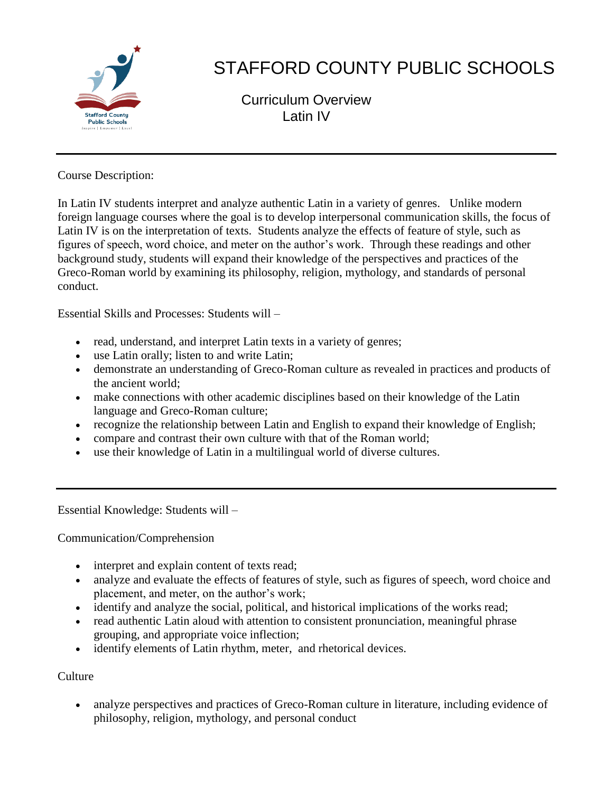

# STAFFORD COUNTY PUBLIC SCHOOLS

Curriculum Overview Latin IV

Course Description:

In Latin IV students interpret and analyze authentic Latin in a variety of genres. Unlike modern foreign language courses where the goal is to develop interpersonal communication skills, the focus of Latin IV is on the interpretation of texts. Students analyze the effects of feature of style, such as figures of speech, word choice, and meter on the author's work. Through these readings and other background study, students will expand their knowledge of the perspectives and practices of the Greco-Roman world by examining its philosophy, religion, mythology, and standards of personal conduct.

Essential Skills and Processes: Students will –

- read, understand, and interpret Latin texts in a variety of genres;
- use Latin orally; listen to and write Latin;
- demonstrate an understanding of Greco-Roman culture as revealed in practices and products of the ancient world;
- make connections with other academic disciplines based on their knowledge of the Latin language and Greco-Roman culture;
- recognize the relationship between Latin and English to expand their knowledge of English;
- compare and contrast their own culture with that of the Roman world;
- use their knowledge of Latin in a multilingual world of diverse cultures.

Essential Knowledge: Students will –

Communication/Comprehension

- interpret and explain content of texts read;
- analyze and evaluate the effects of features of style, such as figures of speech, word choice and placement, and meter, on the author's work;
- identify and analyze the social, political, and historical implications of the works read;
- read authentic Latin aloud with attention to consistent pronunciation, meaningful phrase grouping, and appropriate voice inflection;
- identify elements of Latin rhythm, meter, and rhetorical devices.

Culture

 analyze perspectives and practices of Greco-Roman culture in literature, including evidence of philosophy, religion, mythology, and personal conduct